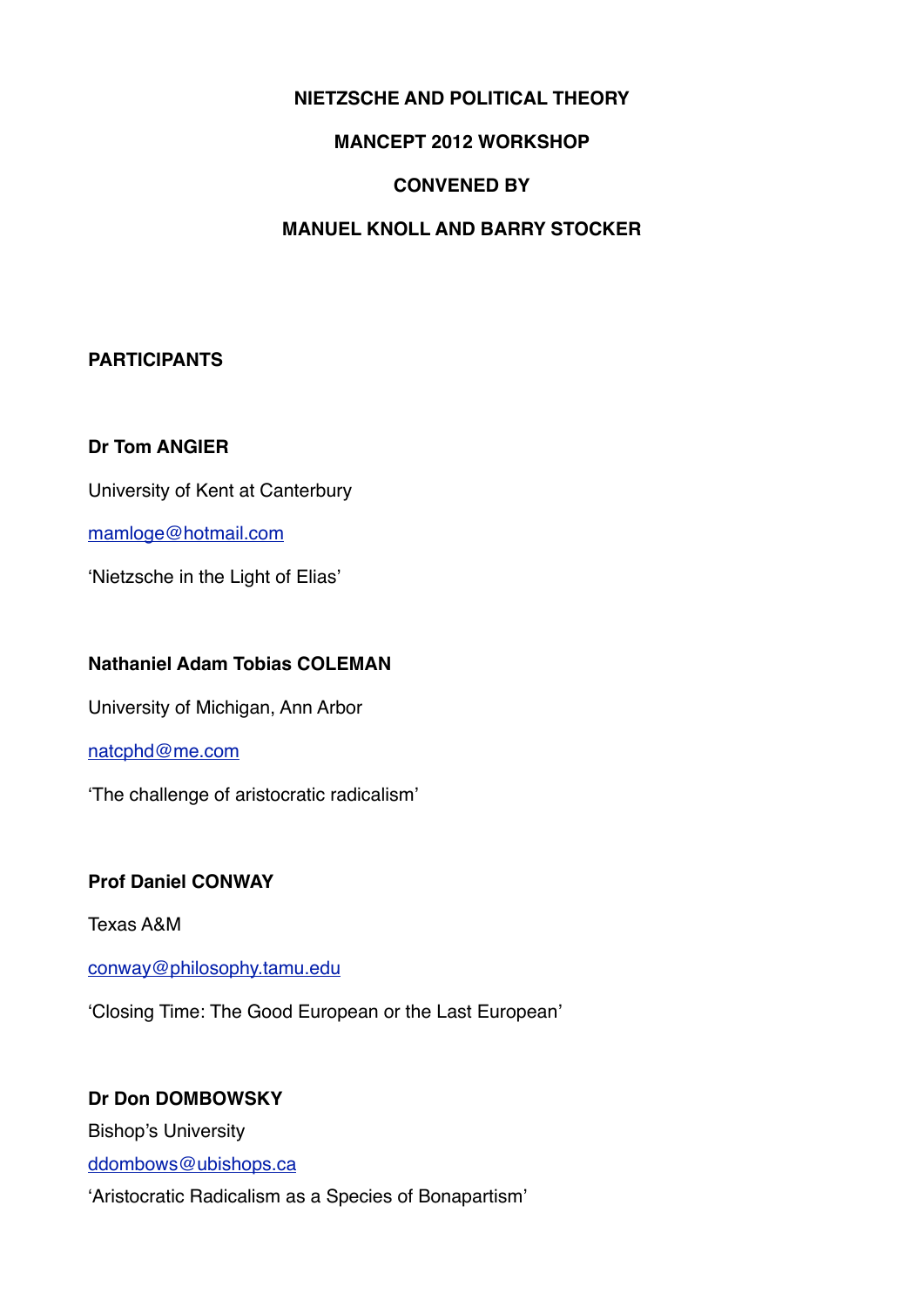### **NIETZSCHE AND POLITICAL THEORY**

### **MANCEPT 2012 WORKSHOP**

### **CONVENED BY**

### **MANUEL KNOLL AND BARRY STOCKER**

#### **PARTICIPANTS**

#### **Dr Tom ANGIER**

University of Kent at Canterbury

[mamloge@hotmail.com](mailto:mamloge@hotmail.com)

'Nietzsche in the Light of Elias'

#### **Nathaniel Adam Tobias COLEMAN**

University of Michigan, Ann Arbor

#### [natcphd@me.com](mailto:natcphd@me.com)

'The challenge of aristocratic radicalism'

#### **Prof Daniel CONWAY**

Texas A&M

[conway@philosophy.tamu.edu](mailto:conway@philosophy.tamu.edu)

'Closing Time: The Good European or the Last European'

### **Dr Don DOMBOWSKY**

Bishop's University

[ddombows@ubishops.ca](mailto:ddombows@ubishops.ca)

'Aristocratic Radicalism as a Species of Bonapartism'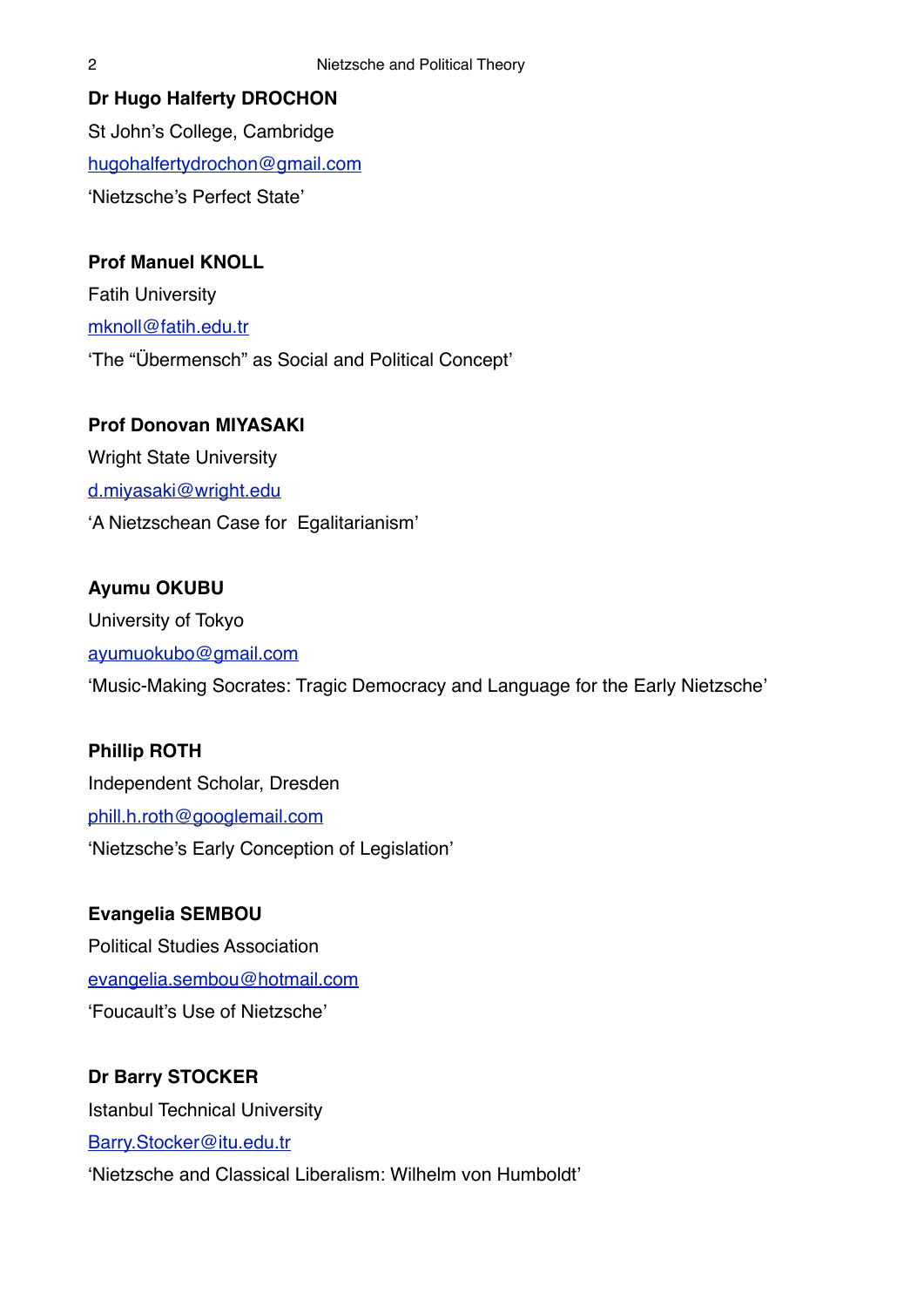**Dr Hugo Halferty DROCHON** St John's College, Cambridge [hugohalfertydrochon@gmail.com](mailto:hugohalfertydrochom@gmail.com) 'Nietzsche's Perfect State'

**Prof Manuel KNOLL** Fatih University [mknoll@fatih.edu.tr](mailto:mknoll@fatih.edu.tr) 'The "Übermensch" as Social and Political Concept'

## **Prof Donovan MIYASAKI**

Wright State University [d.miyasaki@wright.edu](mailto:d.miyasaki@wright.edu.tr) 'A Nietzschean Case for Egalitarianism'

# **Ayumu OKUBU**

University of Tokyo [ayumuokubo@gmail.com](mailto:ayumuokubo@gmail.com) 'Music-Making Socrates: Tragic Democracy and Language for the Early Nietzsche'

## **Phillip ROTH**

Independent Scholar, Dresden [phill.h.roth@googlemail.com](mailto:phill.h.roth@googlemail.com) 'Nietzsche's Early Conception of Legislation'

## **Evangelia SEMBOU**

Political Studies Association [evangelia.sembou@hotmail.com](mailto:Evangelia.sembou@hotmail.com) 'Foucault's Use of Nietzsche'

## **Dr Barry STOCKER**

Istanbul Technical University [Barry.Stocker@itu.edu.tr](mailto:Barry.Stocker@itu.edu.tr) 'Nietzsche and Classical Liberalism: Wilhelm von Humboldt'